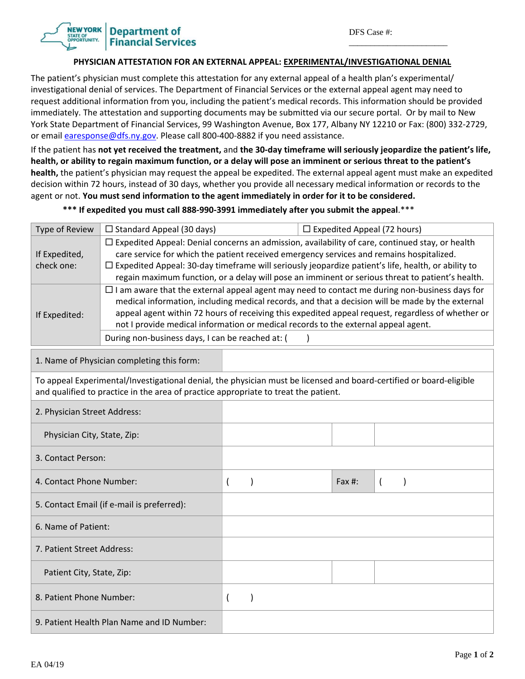\_\_\_\_\_\_\_\_\_\_\_\_\_\_\_\_\_\_\_\_\_\_\_

## **Department of Financial Services**

## **PHYSICIAN ATTESTATION FOR AN EXTERNAL APPEAL: EXPERIMENTAL/INVESTIGATIONAL DENIAL**

The patient's physician must complete this attestation for any external appeal of a health plan's experimental/ investigational denial of services. The Department of Financial Services or the external appeal agent may need to request additional information from you, including the patient's medical records. This information should be provided immediately. The attestation and supporting documents may be submitted via our secure portal. Or by mail to New York State Department of Financial Services, 99 Washington Avenue, Box 177, Albany NY 12210 or Fax: (800) 332‐2729, or email earesponse@dfs.ny.gov. Please call 800-400-8882 if you need assistance.

If the patient has not yet received the treatment, and the 30-day timeframe will seriously jeopardize the patient's life, health, or ability to regain maximum function, or a delay will pose an imminent or serious threat to the patient's **health,** the patient's physician may request the appeal be expedited. The external appeal agent must make an expedited decision within 72 hours, instead of 30 days, whether you provide all necessary medical information or records to the agent or not. **You must send information to the agent immediately in order for it to be considered.** 

\*\*\* If expedited you must call 888-990-3991 immediately after you submit the appeal.\*\*\*

| Type of Review                                                                                                                                                                                             | $\Box$ Standard Appeal (30 days)                                                                                                                                                                                                                                                                                                                                                                                                                                                                                                                                                                                                                                                                                                                                                                                                                                               |                          | $\Box$ Expedited Appeal (72 hours) |  |           |          |  |  |  |
|------------------------------------------------------------------------------------------------------------------------------------------------------------------------------------------------------------|--------------------------------------------------------------------------------------------------------------------------------------------------------------------------------------------------------------------------------------------------------------------------------------------------------------------------------------------------------------------------------------------------------------------------------------------------------------------------------------------------------------------------------------------------------------------------------------------------------------------------------------------------------------------------------------------------------------------------------------------------------------------------------------------------------------------------------------------------------------------------------|--------------------------|------------------------------------|--|-----------|----------|--|--|--|
| If Expedited,<br>check one:<br>If Expedited:                                                                                                                                                               | $\Box$ Expedited Appeal: Denial concerns an admission, availability of care, continued stay, or health<br>care service for which the patient received emergency services and remains hospitalized.<br>$\Box$ Expedited Appeal: 30-day timeframe will seriously jeopardize patient's life, health, or ability to<br>regain maximum function, or a delay will pose an imminent or serious threat to patient's health.<br>$\Box$ I am aware that the external appeal agent may need to contact me during non-business days for<br>medical information, including medical records, and that a decision will be made by the external<br>appeal agent within 72 hours of receiving this expedited appeal request, regardless of whether or<br>not I provide medical information or medical records to the external appeal agent.<br>During non-business days, I can be reached at: ( |                          |                                    |  |           |          |  |  |  |
| 1. Name of Physician completing this form:                                                                                                                                                                 |                                                                                                                                                                                                                                                                                                                                                                                                                                                                                                                                                                                                                                                                                                                                                                                                                                                                                |                          |                                    |  |           |          |  |  |  |
| To appeal Experimental/Investigational denial, the physician must be licensed and board-certified or board-eligible<br>and qualified to practice in the area of practice appropriate to treat the patient. |                                                                                                                                                                                                                                                                                                                                                                                                                                                                                                                                                                                                                                                                                                                                                                                                                                                                                |                          |                                    |  |           |          |  |  |  |
| 2. Physician Street Address:                                                                                                                                                                               |                                                                                                                                                                                                                                                                                                                                                                                                                                                                                                                                                                                                                                                                                                                                                                                                                                                                                |                          |                                    |  |           |          |  |  |  |
| Physician City, State, Zip:                                                                                                                                                                                |                                                                                                                                                                                                                                                                                                                                                                                                                                                                                                                                                                                                                                                                                                                                                                                                                                                                                |                          |                                    |  |           |          |  |  |  |
| 3. Contact Person:                                                                                                                                                                                         |                                                                                                                                                                                                                                                                                                                                                                                                                                                                                                                                                                                                                                                                                                                                                                                                                                                                                |                          |                                    |  |           |          |  |  |  |
| 4. Contact Phone Number:                                                                                                                                                                                   |                                                                                                                                                                                                                                                                                                                                                                                                                                                                                                                                                                                                                                                                                                                                                                                                                                                                                | $\overline{(}$           |                                    |  | Fax $#$ : | $\left($ |  |  |  |
| 5. Contact Email (if e-mail is preferred):                                                                                                                                                                 |                                                                                                                                                                                                                                                                                                                                                                                                                                                                                                                                                                                                                                                                                                                                                                                                                                                                                |                          |                                    |  |           |          |  |  |  |
| 6. Name of Patient:                                                                                                                                                                                        |                                                                                                                                                                                                                                                                                                                                                                                                                                                                                                                                                                                                                                                                                                                                                                                                                                                                                |                          |                                    |  |           |          |  |  |  |
| 7. Patient Street Address:                                                                                                                                                                                 |                                                                                                                                                                                                                                                                                                                                                                                                                                                                                                                                                                                                                                                                                                                                                                                                                                                                                |                          |                                    |  |           |          |  |  |  |
| Patient City, State, Zip:                                                                                                                                                                                  |                                                                                                                                                                                                                                                                                                                                                                                                                                                                                                                                                                                                                                                                                                                                                                                                                                                                                |                          |                                    |  |           |          |  |  |  |
| 8. Patient Phone Number:                                                                                                                                                                                   |                                                                                                                                                                                                                                                                                                                                                                                                                                                                                                                                                                                                                                                                                                                                                                                                                                                                                | $\overline{\phantom{a}}$ | $\mathcal{E}$                      |  |           |          |  |  |  |
| 9. Patient Health Plan Name and ID Number:                                                                                                                                                                 |                                                                                                                                                                                                                                                                                                                                                                                                                                                                                                                                                                                                                                                                                                                                                                                                                                                                                |                          |                                    |  |           |          |  |  |  |